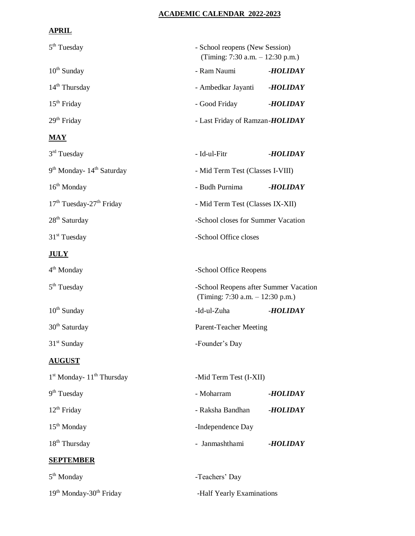## **ACADEMIC CALENDAR 2022-2023**

## **APRIL**

| 5 <sup>th</sup> Tuesday                           |                                 | - School reopens (New Session)<br>(Timing: 7:30 a.m. - 12:30 p.m.)          |  |
|---------------------------------------------------|---------------------------------|-----------------------------------------------------------------------------|--|
| $10th$ Sunday                                     | - Ram Naumi                     | -HOLIDAY                                                                    |  |
| 14 <sup>th</sup> Thursday                         | - Ambedkar Jayanti              | -HOLIDAY                                                                    |  |
| 15 <sup>th</sup> Friday                           | - Good Friday                   | -HOLIDAY                                                                    |  |
| $29th$ Friday                                     | - Last Friday of Ramzan-HOLIDAY |                                                                             |  |
| $\overline{\text{MAX}}$                           |                                 |                                                                             |  |
| $3rd$ Tuesday                                     | - Id-ul-Fitr                    | -HOLIDAY                                                                    |  |
| 9 <sup>th</sup> Monday- 14 <sup>th</sup> Saturday |                                 | - Mid Term Test (Classes I-VIII)                                            |  |
| $16th$ Monday                                     | - Budh Purnima                  | -HOLIDAY                                                                    |  |
| 17 <sup>th</sup> Tuesday-27 <sup>th</sup> Friday  |                                 | - Mid Term Test (Classes IX-XII)                                            |  |
| 28 <sup>th</sup> Saturday                         |                                 | -School closes for Summer Vacation                                          |  |
| $31st$ Tuesday                                    |                                 | -School Office closes                                                       |  |
| <u>JULY</u>                                       |                                 |                                                                             |  |
| $4th$ Monday                                      |                                 | -School Office Reopens                                                      |  |
| 5 <sup>th</sup> Tuesday                           |                                 | -School Reopens after Summer Vacation<br>(Timing: 7:30 a.m. $- 12:30$ p.m.) |  |
| $10^{th}$ Sunday                                  | -Id-ul-Zuha                     | -HOLIDAY                                                                    |  |
| $30th$ Saturday                                   |                                 | Parent-Teacher Meeting                                                      |  |
| $31st$ Sunday                                     | -Founder's Day                  |                                                                             |  |
| <b>AUGUST</b>                                     |                                 |                                                                             |  |
| 1 <sup>st</sup> Monday- 11 <sup>th</sup> Thursday |                                 | -Mid Term Test (I-XII)                                                      |  |
| 9 <sup>th</sup> Tuesday                           | - Moharram                      | -HOLIDAY                                                                    |  |
| $12th$ Friday                                     | - Raksha Bandhan                | -HOLIDAY                                                                    |  |
| $15th$ Monday                                     | -Independence Day               |                                                                             |  |
| $18th$ Thursday                                   | - Janmashthami                  | -HOLIDAY                                                                    |  |
| <b>SEPTEMBER</b>                                  |                                 |                                                                             |  |
| $5th$ Monday                                      | -Teachers' Day                  |                                                                             |  |

19th Monday-30th Friday -Half Yearly Examinations